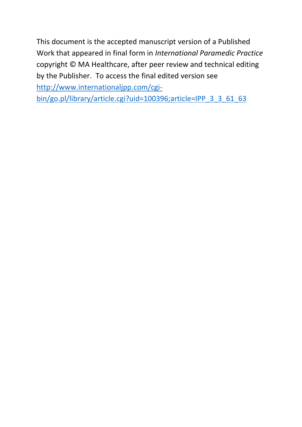This document is the accepted manuscript version of a Published Work that appeared in final form in *International Paramedic Practice*  copyright © MA Healthcare, after peer review and technical editing by the Publisher. To access the final edited version see [http://www.internationaljpp.com/cgi-](http://www.internationaljpp.com/cgi-bin/go.pl/library/article.cgi?uid=100396;article=IPP_3_3_61_63)

[bin/go.pl/library/article.cgi?uid=100396;article=IPP\\_3\\_3\\_61\\_63](http://www.internationaljpp.com/cgi-bin/go.pl/library/article.cgi?uid=100396;article=IPP_3_3_61_63)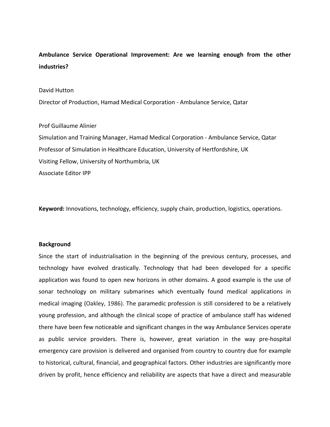# **Ambulance Service Operational Improvement: Are we learning enough from the other industries?**

## David Hutton

Director of Production, Hamad Medical Corporation - Ambulance Service, Qatar

# Prof Guillaume Alinier

Simulation and Training Manager, Hamad Medical Corporation - Ambulance Service, Qatar Professor of Simulation in Healthcare Education, University of Hertfordshire, UK Visiting Fellow, University of Northumbria, UK Associate Editor IPP

**Keyword:** Innovations, technology, efficiency, supply chain, production, logistics, operations.

## **Background**

Since the start of industrialisation in the beginning of the previous century, processes, and technology have evolved drastically. Technology that had been developed for a specific application was found to open new horizons in other domains. A good example is the use of sonar technology on military submarines which eventually found medical applications in medical imaging (Oakley, 1986). The paramedic profession is still considered to be a relatively young profession, and although the clinical scope of practice of ambulance staff has widened there have been few noticeable and significant changes in the way Ambulance Services operate as public service providers. There is, however, great variation in the way pre-hospital emergency care provision is delivered and organised from country to country due for example to historical, cultural, financial, and geographical factors. Other industries are significantly more driven by profit, hence efficiency and reliability are aspects that have a direct and measurable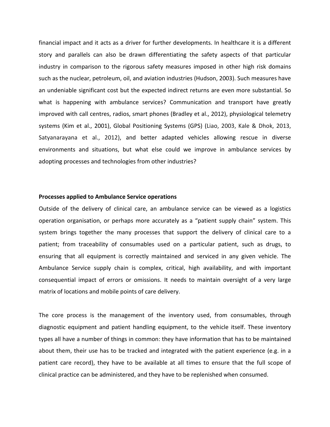financial impact and it acts as a driver for further developments. In healthcare it is a different story and parallels can also be drawn differentiating the safety aspects of that particular industry in comparison to the rigorous safety measures imposed in other high risk domains such as the nuclear, petroleum, oil, and aviation industries (Hudson, 2003). Such measures have an undeniable significant cost but the expected indirect returns are even more substantial. So what is happening with ambulance services? Communication and transport have greatly improved with call centres, radios, smart phones (Bradley et al., 2012), physiological telemetry systems (Kim et al., 2001), Global Positioning Systems (GPS) (Liao, 2003, Kale & Dhok, 2013, Satyanarayana et al., 2012), and better adapted vehicles allowing rescue in diverse environments and situations, but what else could we improve in ambulance services by adopting processes and technologies from other industries?

# **Processes applied to Ambulance Service operations**

Outside of the delivery of clinical care, an ambulance service can be viewed as a logistics operation organisation, or perhaps more accurately as a "patient supply chain" system. This system brings together the many processes that support the delivery of clinical care to a patient; from traceability of consumables used on a particular patient, such as drugs, to ensuring that all equipment is correctly maintained and serviced in any given vehicle. The Ambulance Service supply chain is complex, critical, high availability, and with important consequential impact of errors or omissions. It needs to maintain oversight of a very large matrix of locations and mobile points of care delivery.

The core process is the management of the inventory used, from consumables, through diagnostic equipment and patient handling equipment, to the vehicle itself. These inventory types all have a number of things in common: they have information that has to be maintained about them, their use has to be tracked and integrated with the patient experience (e.g. in a patient care record), they have to be available at all times to ensure that the full scope of clinical practice can be administered, and they have to be replenished when consumed.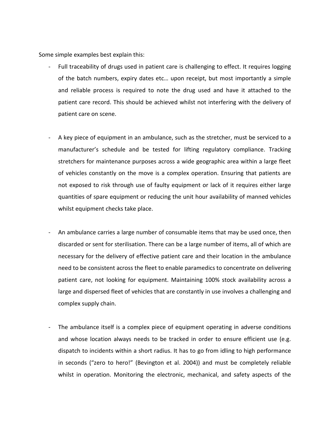Some simple examples best explain this:

- Full traceability of drugs used in patient care is challenging to effect. It requires logging of the batch numbers, expiry dates etc… upon receipt, but most importantly a simple and reliable process is required to note the drug used and have it attached to the patient care record. This should be achieved whilst not interfering with the delivery of patient care on scene.
- A key piece of equipment in an ambulance, such as the stretcher, must be serviced to a manufacturer's schedule and be tested for lifting regulatory compliance. Tracking stretchers for maintenance purposes across a wide geographic area within a large fleet of vehicles constantly on the move is a complex operation. Ensuring that patients are not exposed to risk through use of faulty equipment or lack of it requires either large quantities of spare equipment or reducing the unit hour availability of manned vehicles whilst equipment checks take place.
- An ambulance carries a large number of consumable items that may be used once, then discarded or sent for sterilisation. There can be a large number of items, all of which are necessary for the delivery of effective patient care and their location in the ambulance need to be consistent across the fleet to enable paramedics to concentrate on delivering patient care, not looking for equipment. Maintaining 100% stock availability across a large and dispersed fleet of vehicles that are constantly in use involves a challenging and complex supply chain.
- The ambulance itself is a complex piece of equipment operating in adverse conditions and whose location always needs to be tracked in order to ensure efficient use (e.g. dispatch to incidents within a short radius. It has to go from idling to high performance in seconds ("zero to hero!" (Bevington et al. 2004)) and must be completely reliable whilst in operation. Monitoring the electronic, mechanical, and safety aspects of the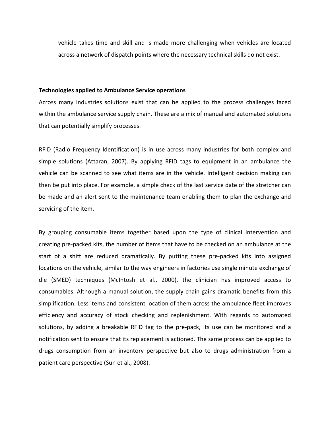vehicle takes time and skill and is made more challenging when vehicles are located across a network of dispatch points where the necessary technical skills do not exist.

#### **Technologies applied to Ambulance Service operations**

Across many industries solutions exist that can be applied to the process challenges faced within the ambulance service supply chain. These are a mix of manual and automated solutions that can potentially simplify processes.

RFID (Radio Frequency Identification) is in use across many industries for both complex and simple solutions (Attaran, 2007). By applying RFID tags to equipment in an ambulance the vehicle can be scanned to see what items are in the vehicle. Intelligent decision making can then be put into place. For example, a simple check of the last service date of the stretcher can be made and an alert sent to the maintenance team enabling them to plan the exchange and servicing of the item.

By grouping consumable items together based upon the type of clinical intervention and creating pre-packed kits, the number of items that have to be checked on an ambulance at the start of a shift are reduced dramatically. By putting these pre-packed kits into assigned locations on the vehicle, similar to the way engineers in factories use single minute exchange of die (SMED) techniques (McIntosh et al., 2000), the clinician has improved access to consumables. Although a manual solution, the supply chain gains dramatic benefits from this simplification. Less items and consistent location of them across the ambulance fleet improves efficiency and accuracy of stock checking and replenishment. With regards to automated solutions, by adding a breakable RFID tag to the pre-pack, its use can be monitored and a notification sent to ensure that its replacement is actioned. The same process can be applied to drugs consumption from an inventory perspective but also to drugs administration from a patient care perspective (Sun et al., 2008).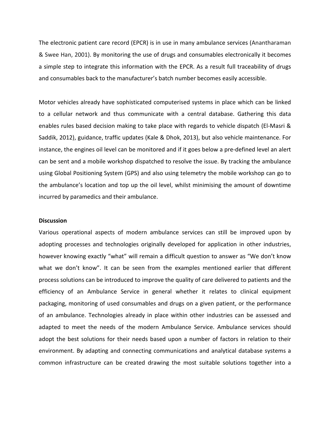The electronic patient care record (EPCR) is in use in many ambulance services (Anantharaman & Swee Han, 2001). By monitoring the use of drugs and consumables electronically it becomes a simple step to integrate this information with the EPCR. As a result full traceability of drugs and consumables back to the manufacturer's batch number becomes easily accessible.

Motor vehicles already have sophisticated computerised systems in place which can be linked to a cellular network and thus communicate with a central database. Gathering this data enables rules based decision making to take place with regards to vehicle dispatch (El-Masri & Saddik, 2012), guidance, traffic updates (Kale & Dhok, 2013), but also vehicle maintenance. For instance, the engines oil level can be monitored and if it goes below a pre-defined level an alert can be sent and a mobile workshop dispatched to resolve the issue. By tracking the ambulance using Global Positioning System (GPS) and also using telemetry the mobile workshop can go to the ambulance's location and top up the oil level, whilst minimising the amount of downtime incurred by paramedics and their ambulance.

## **Discussion**

Various operational aspects of modern ambulance services can still be improved upon by adopting processes and technologies originally developed for application in other industries, however knowing exactly "what" will remain a difficult question to answer as "We don't know what we don't know". It can be seen from the examples mentioned earlier that different process solutions can be introduced to improve the quality of care delivered to patients and the efficiency of an Ambulance Service in general whether it relates to clinical equipment packaging, monitoring of used consumables and drugs on a given patient, or the performance of an ambulance. Technologies already in place within other industries can be assessed and adapted to meet the needs of the modern Ambulance Service. Ambulance services should adopt the best solutions for their needs based upon a number of factors in relation to their environment. By adapting and connecting communications and analytical database systems a common infrastructure can be created drawing the most suitable solutions together into a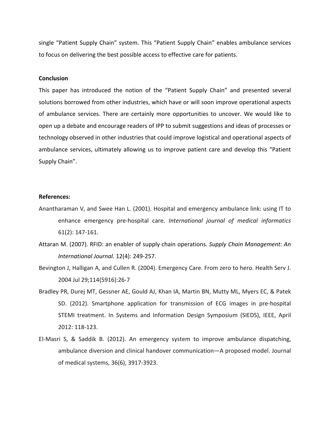single "Patient Supply Chain" system. This "Patient Supply Chain" enables ambulance services to focus on delivering the best possible access to effective care for patients.

#### **Conclusion**

This paper has introduced the notion of the "Patient Supply Chain" and presented several solutions borrowed from other industries, which have or will soon improve operational aspects of ambulance services. There are certainly more opportunities to uncover. We would like to open up a debate and encourage readers of IPP to submit suggestions and ideas of processes or technology observed in other industries that could improve logistical and operational aspects of ambulance services, ultimately allowing us to improve patient care and develop this "Patient Supply Chain".

## **References:**

- Anantharaman V, and Swee Han L. (2001). Hospital and emergency ambulance link: using IT to enhance emergency pre-hospital care. *International journal of medical informatics* 61(2): 147-161.
- Attaran M. (2007). RFID: an enabler of supply chain operations. *Supply Chain Management: An International Journal.* 12(4): 249-257.
- Bevington J, Halligan A, and Cullen R. (2004). Emergency Care. From zero to hero. Health Serv J. 2004 Jul 29;114(5916):26-7
- Bradley PR, Durej MT, Gessner AE, Gould AJ, Khan IA, Martin BN, Mutty ML, Myers EC, & Patek SD. (2012). Smartphone application for transmission of ECG images in pre-hospital STEMI treatment. In Systems and Information Design Symposium (SIEDS), IEEE, April 2012: 118-123.
- El-Masri S, & Saddik B. (2012). An emergency system to improve ambulance dispatching, ambulance diversion and clinical handover communication—A proposed model. Journal of medical systems, 36(6), 3917-3923.